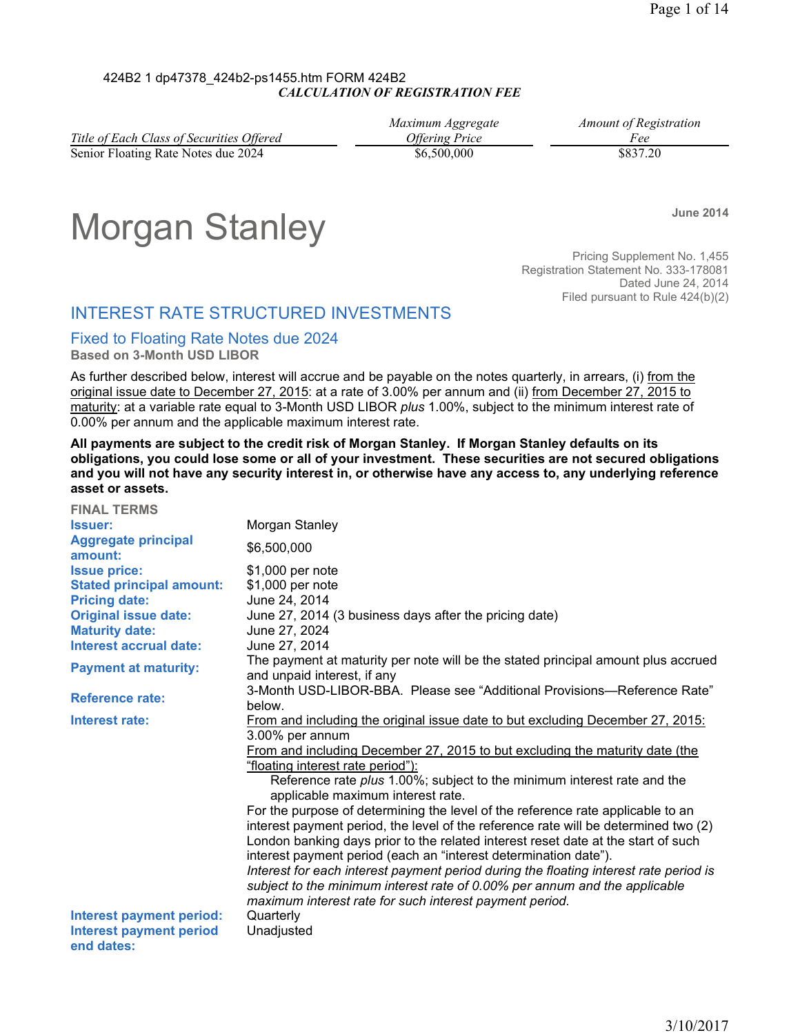#### 424B2 1 dp47378\_424b2-ps1455.htm FORM 424B2 *CALCULATION OF REGISTRATION FEE*

*Title of Each Class of Securities Offered Maximum Aggregate Offering Price Amount of Registration Fee* Senior Floating Rate Notes due 2024 \$6,500,000 \$837.20



Pricing Supplement No. 1,455 Registration Statement No. 333-178081 Dated June 24, 2014 Filed pursuant to Rule 424(b)(2)

## INTEREST RATE STRUCTURED INVESTMENTS

Fixed to Floating Rate Notes due 2024

**Based on 3-Month USD LIBOR**

As further described below, interest will accrue and be payable on the notes quarterly, in arrears, (i) from the original issue date to December 27, 2015: at a rate of 3.00% per annum and (ii) from December 27, 2015 to maturity: at a variable rate equal to 3-Month USD LIBOR *plus* 1.00%, subject to the minimum interest rate of 0.00% per annum and the applicable maximum interest rate.

**All payments are subject to the credit risk of Morgan Stanley. If Morgan Stanley defaults on its obligations, you could lose some or all of your investment. These securities are not secured obligations and you will not have any security interest in, or otherwise have any access to, any underlying reference asset or assets.**

| <b>FINAL TERMS</b>                    |                                                                                                                  |  |  |  |
|---------------------------------------|------------------------------------------------------------------------------------------------------------------|--|--|--|
| <b>Issuer:</b>                        | Morgan Stanley                                                                                                   |  |  |  |
| <b>Aggregate principal</b><br>amount: | \$6,500,000                                                                                                      |  |  |  |
| <b>Issue price:</b>                   | \$1,000 per note                                                                                                 |  |  |  |
| <b>Stated principal amount:</b>       | \$1,000 per note                                                                                                 |  |  |  |
| <b>Pricing date:</b>                  | June 24, 2014                                                                                                    |  |  |  |
| <b>Original issue date:</b>           | June 27, 2014 (3 business days after the pricing date)<br>June 27, 2024                                          |  |  |  |
| <b>Maturity date:</b>                 |                                                                                                                  |  |  |  |
| <b>Interest accrual date:</b>         | June 27, 2014                                                                                                    |  |  |  |
| <b>Payment at maturity:</b>           | The payment at maturity per note will be the stated principal amount plus accrued<br>and unpaid interest, if any |  |  |  |
| <b>Reference rate:</b>                | 3-Month USD-LIBOR-BBA. Please see "Additional Provisions—Reference Rate"                                         |  |  |  |
|                                       | below.                                                                                                           |  |  |  |
| Interest rate:                        | From and including the original issue date to but excluding December 27, 2015:                                   |  |  |  |
|                                       | 3.00% per annum                                                                                                  |  |  |  |
|                                       | From and including December 27, 2015 to but excluding the maturity date (the                                     |  |  |  |
|                                       | "floating interest rate period"):                                                                                |  |  |  |
|                                       | Reference rate plus 1.00%; subject to the minimum interest rate and the                                          |  |  |  |
|                                       | applicable maximum interest rate.                                                                                |  |  |  |
|                                       | For the purpose of determining the level of the reference rate applicable to an                                  |  |  |  |
|                                       | interest payment period, the level of the reference rate will be determined two (2)                              |  |  |  |
|                                       | London banking days prior to the related interest reset date at the start of such                                |  |  |  |
|                                       | interest payment period (each an "interest determination date").                                                 |  |  |  |
|                                       | Interest for each interest payment period during the floating interest rate period is                            |  |  |  |
|                                       | subject to the minimum interest rate of 0.00% per annum and the applicable                                       |  |  |  |
|                                       | maximum interest rate for such interest payment period.                                                          |  |  |  |
| <b>Interest payment period:</b>       | Quarterly                                                                                                        |  |  |  |
| <b>Interest payment period</b>        | Unadjusted                                                                                                       |  |  |  |
| end dates:                            |                                                                                                                  |  |  |  |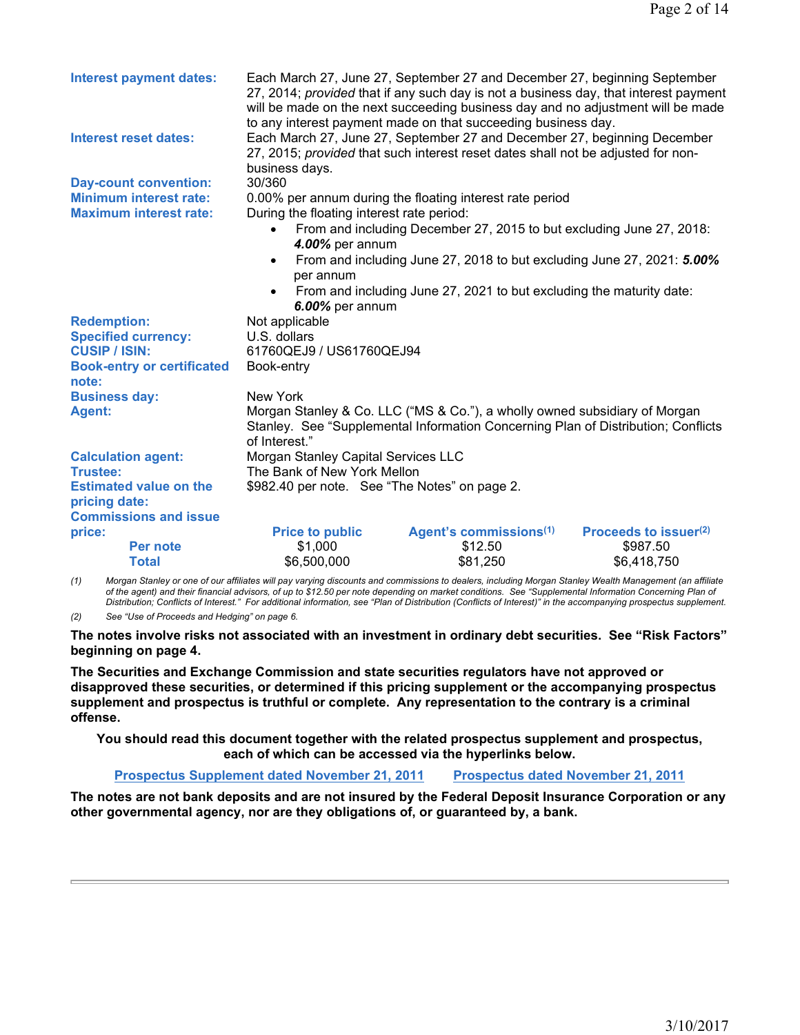| <b>Interest payment dates:</b>             | Each March 27, June 27, September 27 and December 27, beginning September<br>27, 2014; provided that if any such day is not a business day, that interest payment<br>will be made on the next succeeding business day and no adjustment will be made<br>to any interest payment made on that succeeding business day. |                                    |                                 |  |  |
|--------------------------------------------|-----------------------------------------------------------------------------------------------------------------------------------------------------------------------------------------------------------------------------------------------------------------------------------------------------------------------|------------------------------------|---------------------------------|--|--|
| Interest reset dates:                      | Each March 27, June 27, September 27 and December 27, beginning December<br>27, 2015; provided that such interest reset dates shall not be adjusted for non-<br>business days.                                                                                                                                        |                                    |                                 |  |  |
| <b>Day-count convention:</b>               | 30/360                                                                                                                                                                                                                                                                                                                |                                    |                                 |  |  |
| <b>Minimum interest rate:</b>              | 0.00% per annum during the floating interest rate period                                                                                                                                                                                                                                                              |                                    |                                 |  |  |
| <b>Maximum interest rate:</b>              | During the floating interest rate period:                                                                                                                                                                                                                                                                             |                                    |                                 |  |  |
|                                            | From and including December 27, 2015 to but excluding June 27, 2018:<br>$\bullet$<br>4.00% per annum                                                                                                                                                                                                                  |                                    |                                 |  |  |
|                                            | From and including June 27, 2018 to but excluding June 27, 2021: 5.00%<br>$\bullet$<br>per annum                                                                                                                                                                                                                      |                                    |                                 |  |  |
|                                            | From and including June 27, 2021 to but excluding the maturity date:<br>$\bullet$<br>6.00% per annum                                                                                                                                                                                                                  |                                    |                                 |  |  |
| <b>Redemption:</b>                         | Not applicable                                                                                                                                                                                                                                                                                                        |                                    |                                 |  |  |
| <b>Specified currency:</b>                 | U.S. dollars                                                                                                                                                                                                                                                                                                          |                                    |                                 |  |  |
| <b>CUSIP / ISIN:</b>                       | 61760QEJ9 / US61760QEJ94                                                                                                                                                                                                                                                                                              |                                    |                                 |  |  |
| <b>Book-entry or certificated</b><br>note: | Book-entry                                                                                                                                                                                                                                                                                                            |                                    |                                 |  |  |
| <b>Business day:</b>                       | New York                                                                                                                                                                                                                                                                                                              |                                    |                                 |  |  |
| Agent:                                     | Morgan Stanley & Co. LLC ("MS & Co."), a wholly owned subsidiary of Morgan<br>Stanley. See "Supplemental Information Concerning Plan of Distribution; Conflicts<br>of Interest."                                                                                                                                      |                                    |                                 |  |  |
| <b>Calculation agent:</b>                  | Morgan Stanley Capital Services LLC                                                                                                                                                                                                                                                                                   |                                    |                                 |  |  |
| <b>Trustee:</b>                            | The Bank of New York Mellon                                                                                                                                                                                                                                                                                           |                                    |                                 |  |  |
| <b>Estimated value on the</b>              | \$982.40 per note. See "The Notes" on page 2.                                                                                                                                                                                                                                                                         |                                    |                                 |  |  |
| pricing date:                              |                                                                                                                                                                                                                                                                                                                       |                                    |                                 |  |  |
| <b>Commissions and issue</b>               |                                                                                                                                                                                                                                                                                                                       |                                    |                                 |  |  |
| price:                                     | <b>Price to public</b>                                                                                                                                                                                                                                                                                                | Agent's commissions <sup>(1)</sup> | <b>Proceeds to issuer</b> $(2)$ |  |  |
| Per note                                   | \$1,000                                                                                                                                                                                                                                                                                                               | \$12.50                            | \$987.50                        |  |  |
| <b>Total</b>                               | \$6,500,000                                                                                                                                                                                                                                                                                                           | \$81,250                           | \$6,418,750                     |  |  |

*(1) Morgan Stanley or one of our affiliates will pay varying discounts and commissions to dealers, including Morgan Stanley Wealth Management (an affiliate of the agent) and their financial advisors, of up to \$12.50 per note depending on market conditions. See "Supplemental Information Concerning Plan of Distribution; Conflicts of Interest." For additional information, see "Plan of Distribution (Conflicts of Interest)" in the accompanying prospectus supplement.*

*(2) See "Use of Proceeds and Hedging" on page 6.*

**The notes involve risks not associated with an investment in ordinary debt securities. See "Risk Factors" beginning on page 4.**

**The Securities and Exchange Commission and state securities regulators have not approved or disapproved these securities, or determined if this pricing supplement or the accompanying prospectus supplement and prospectus is truthful or complete. Any representation to the contrary is a criminal offense.**

**You should read this document together with the related prospectus supplement and prospectus, each of which can be accessed via the hyperlinks below.**

#### **Prospectus Supplement dated November 21, 2011 Prospectus dated November 21, 2011**

**The notes are not bank deposits and are not insured by the Federal Deposit Insurance Corporation or any other governmental agency, nor are they obligations of, or guaranteed by, a bank.**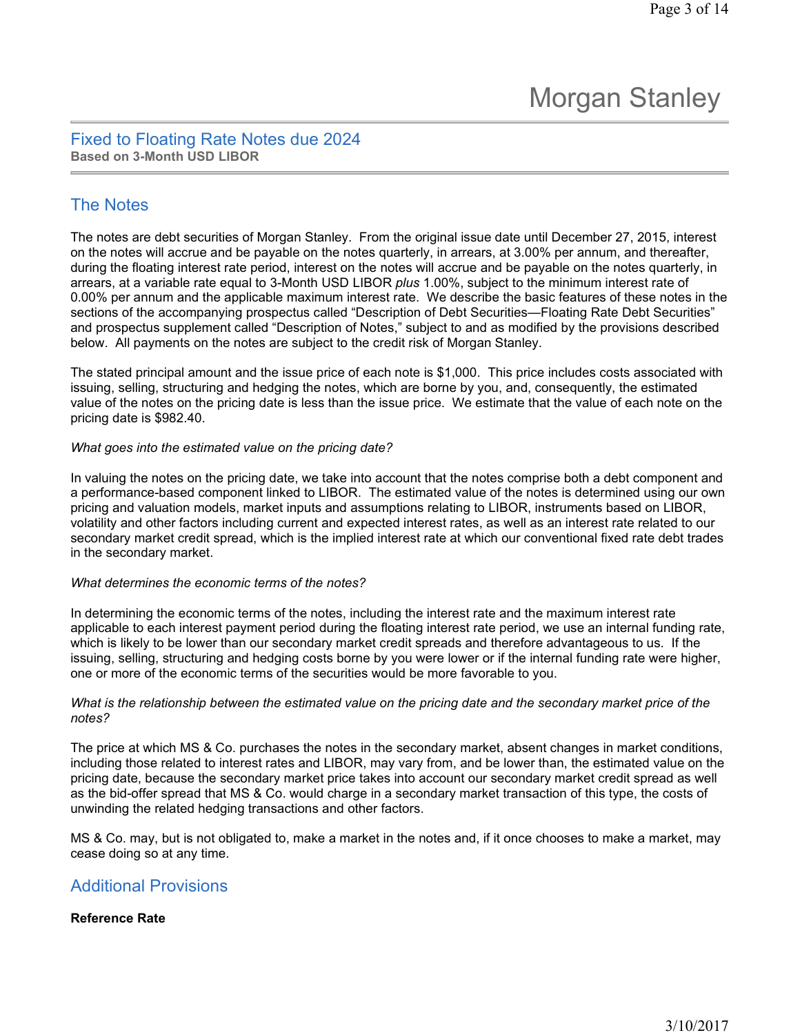### Fixed to Floating Rate Notes due 2024 **Based on 3-Month USD LIBOR**

# The Notes

The notes are debt securities of Morgan Stanley. From the original issue date until December 27, 2015, interest on the notes will accrue and be payable on the notes quarterly, in arrears, at 3.00% per annum, and thereafter, during the floating interest rate period, interest on the notes will accrue and be payable on the notes quarterly, in arrears, at a variable rate equal to 3-Month USD LIBOR *plus* 1.00%, subject to the minimum interest rate of 0.00% per annum and the applicable maximum interest rate. We describe the basic features of these notes in the sections of the accompanying prospectus called "Description of Debt Securities—Floating Rate Debt Securities" and prospectus supplement called "Description of Notes," subject to and as modified by the provisions described below. All payments on the notes are subject to the credit risk of Morgan Stanley.

The stated principal amount and the issue price of each note is \$1,000. This price includes costs associated with issuing, selling, structuring and hedging the notes, which are borne by you, and, consequently, the estimated value of the notes on the pricing date is less than the issue price. We estimate that the value of each note on the pricing date is \$982.40.

#### *What goes into the estimated value on the pricing date?*

In valuing the notes on the pricing date, we take into account that the notes comprise both a debt component and a performance-based component linked to LIBOR. The estimated value of the notes is determined using our own pricing and valuation models, market inputs and assumptions relating to LIBOR, instruments based on LIBOR, volatility and other factors including current and expected interest rates, as well as an interest rate related to our secondary market credit spread, which is the implied interest rate at which our conventional fixed rate debt trades in the secondary market.

#### *What determines the economic terms of the notes?*

In determining the economic terms of the notes, including the interest rate and the maximum interest rate applicable to each interest payment period during the floating interest rate period, we use an internal funding rate, which is likely to be lower than our secondary market credit spreads and therefore advantageous to us. If the issuing, selling, structuring and hedging costs borne by you were lower or if the internal funding rate were higher, one or more of the economic terms of the securities would be more favorable to you.

#### *What is the relationship between the estimated value on the pricing date and the secondary market price of the notes?*

The price at which MS & Co. purchases the notes in the secondary market, absent changes in market conditions, including those related to interest rates and LIBOR, may vary from, and be lower than, the estimated value on the pricing date, because the secondary market price takes into account our secondary market credit spread as well as the bid-offer spread that MS & Co. would charge in a secondary market transaction of this type, the costs of unwinding the related hedging transactions and other factors.

MS & Co. may, but is not obligated to, make a market in the notes and, if it once chooses to make a market, may cease doing so at any time.

### Additional Provisions

#### **Reference Rate**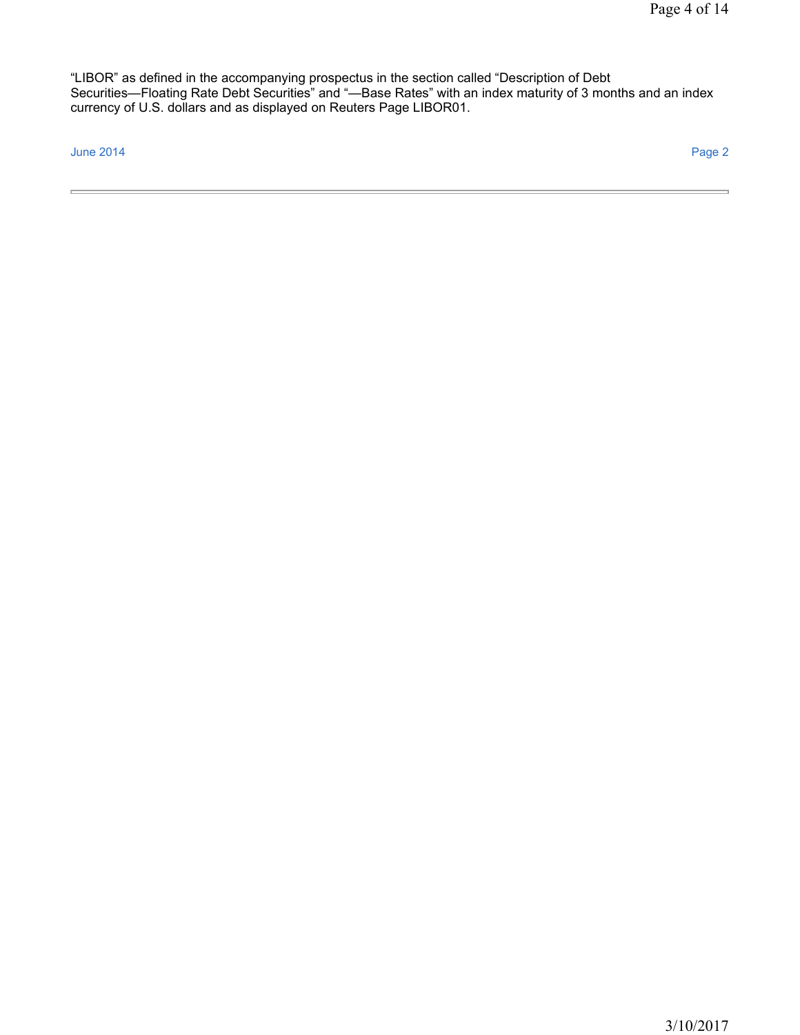"LIBOR" as defined in the accompanying prospectus in the section called "Description of Debt Securities—Floating Rate Debt Securities" and "—Base Rates" with an index maturity of 3 months and an index currency of U.S. dollars and as displayed on Reuters Page LIBOR01.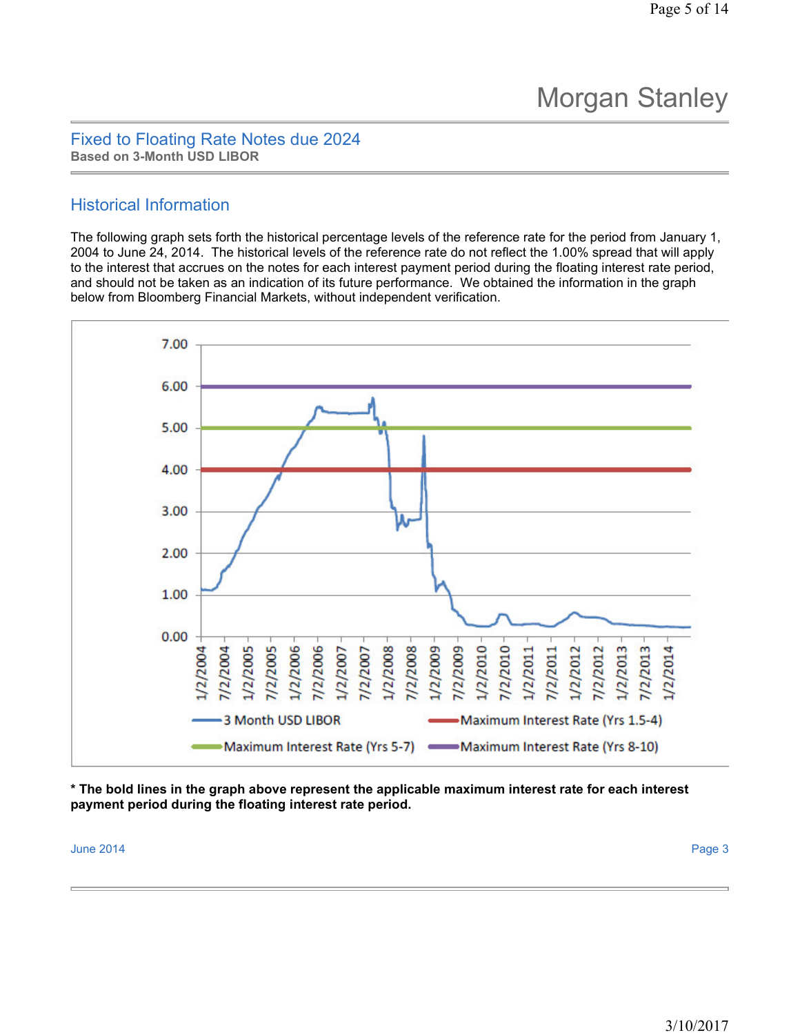### Fixed to Floating Rate Notes due 2024 **Based on 3-Month USD LIBOR**

### Historical Information

The following graph sets forth the historical percentage levels of the reference rate for the period from January 1, 2004 to June 24, 2014. The historical levels of the reference rate do not reflect the 1.00% spread that will apply to the interest that accrues on the notes for each interest payment period during the floating interest rate period, and should not be taken as an indication of its future performance. We obtained the information in the graph below from Bloomberg Financial Markets, without independent verification.



**\* The bold lines in the graph above represent the applicable maximum interest rate for each interest payment period during the floating interest rate period.**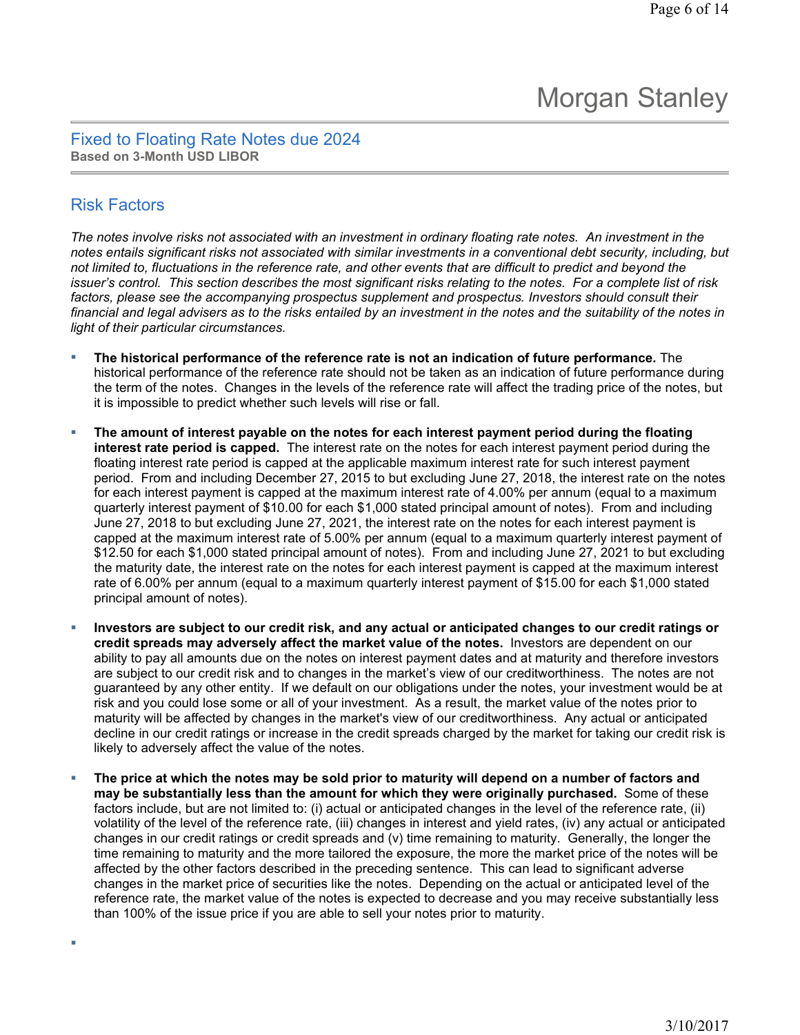### Fixed to Floating Rate Notes due 2024 **Based on 3-Month USD LIBOR**

# Risk Factors

i.

*The notes involve risks not associated with an investment in ordinary floating rate notes. An investment in the notes entails significant risks not associated with similar investments in a conventional debt security, including, but not limited to, fluctuations in the reference rate, and other events that are difficult to predict and beyond the issuer's control. This section describes the most significant risks relating to the notes. For a complete list of risk factors, please see the accompanying prospectus supplement and prospectus. Investors should consult their financial and legal advisers as to the risks entailed by an investment in the notes and the suitability of the notes in light of their particular circumstances.*

- **The historical performance of the reference rate is not an indication of future performance.** The historical performance of the reference rate should not be taken as an indication of future performance during the term of the notes. Changes in the levels of the reference rate will affect the trading price of the notes, but it is impossible to predict whether such levels will rise or fall.
- **The amount of interest payable on the notes for each interest payment period during the floating interest rate period is capped.** The interest rate on the notes for each interest payment period during the floating interest rate period is capped at the applicable maximum interest rate for such interest payment period. From and including December 27, 2015 to but excluding June 27, 2018, the interest rate on the notes for each interest payment is capped at the maximum interest rate of 4.00% per annum (equal to a maximum quarterly interest payment of \$10.00 for each \$1,000 stated principal amount of notes). From and including June 27, 2018 to but excluding June 27, 2021, the interest rate on the notes for each interest payment is capped at the maximum interest rate of 5.00% per annum (equal to a maximum quarterly interest payment of \$12.50 for each \$1,000 stated principal amount of notes). From and including June 27, 2021 to but excluding the maturity date, the interest rate on the notes for each interest payment is capped at the maximum interest rate of 6.00% per annum (equal to a maximum quarterly interest payment of \$15.00 for each \$1,000 stated principal amount of notes).
- **Investors are subject to our credit risk, and any actual or anticipated changes to our credit ratings or credit spreads may adversely affect the market value of the notes.** Investors are dependent on our ability to pay all amounts due on the notes on interest payment dates and at maturity and therefore investors are subject to our credit risk and to changes in the market's view of our creditworthiness. The notes are not guaranteed by any other entity. If we default on our obligations under the notes, your investment would be at risk and you could lose some or all of your investment. As a result, the market value of the notes prior to maturity will be affected by changes in the market's view of our creditworthiness. Any actual or anticipated decline in our credit ratings or increase in the credit spreads charged by the market for taking our credit risk is likely to adversely affect the value of the notes.
- **The price at which the notes may be sold prior to maturity will depend on a number of factors and may be substantially less than the amount for which they were originally purchased.** Some of these factors include, but are not limited to: (i) actual or anticipated changes in the level of the reference rate, (ii) volatility of the level of the reference rate, (iii) changes in interest and yield rates, (iv) any actual or anticipated changes in our credit ratings or credit spreads and (v) time remaining to maturity. Generally, the longer the time remaining to maturity and the more tailored the exposure, the more the market price of the notes will be affected by the other factors described in the preceding sentence. This can lead to significant adverse changes in the market price of securities like the notes. Depending on the actual or anticipated level of the reference rate, the market value of the notes is expected to decrease and you may receive substantially less than 100% of the issue price if you are able to sell your notes prior to maturity.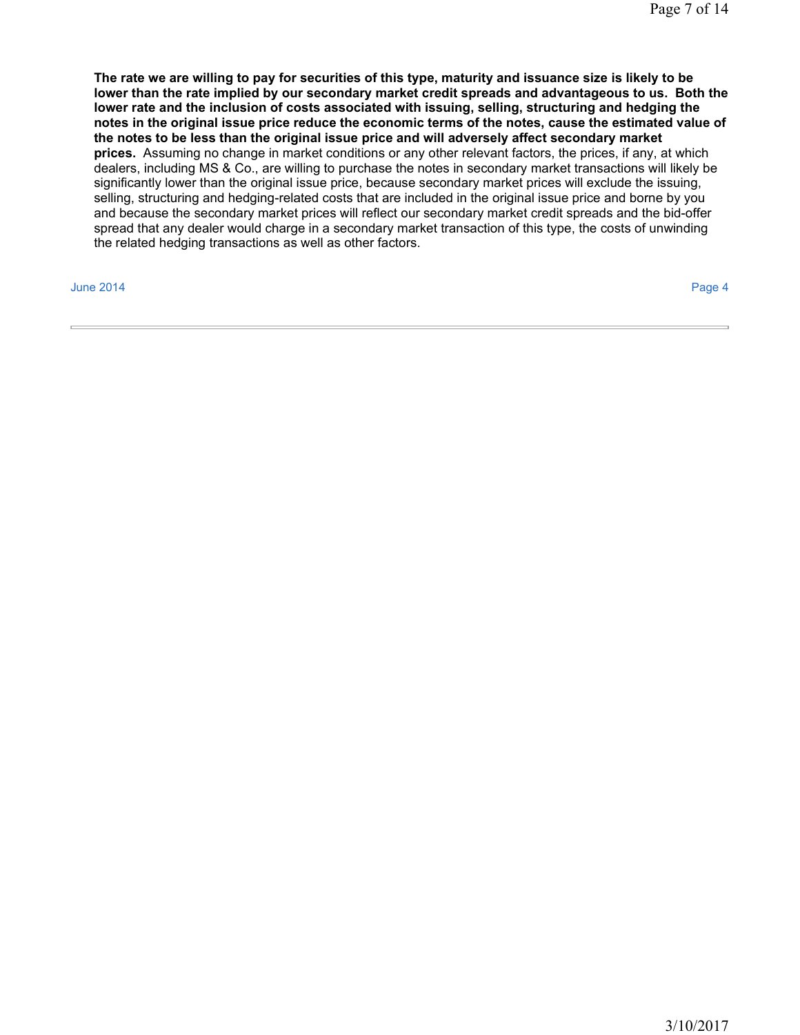**The rate we are willing to pay for securities of this type, maturity and issuance size is likely to be lower than the rate implied by our secondary market credit spreads and advantageous to us. Both the lower rate and the inclusion of costs associated with issuing, selling, structuring and hedging the notes in the original issue price reduce the economic terms of the notes, cause the estimated value of the notes to be less than the original issue price and will adversely affect secondary market prices.** Assuming no change in market conditions or any other relevant factors, the prices, if any, at which dealers, including MS & Co., are willing to purchase the notes in secondary market transactions will likely be significantly lower than the original issue price, because secondary market prices will exclude the issuing, selling, structuring and hedging-related costs that are included in the original issue price and borne by you and because the secondary market prices will reflect our secondary market credit spreads and the bid-offer spread that any dealer would charge in a secondary market transaction of this type, the costs of unwinding the related hedging transactions as well as other factors.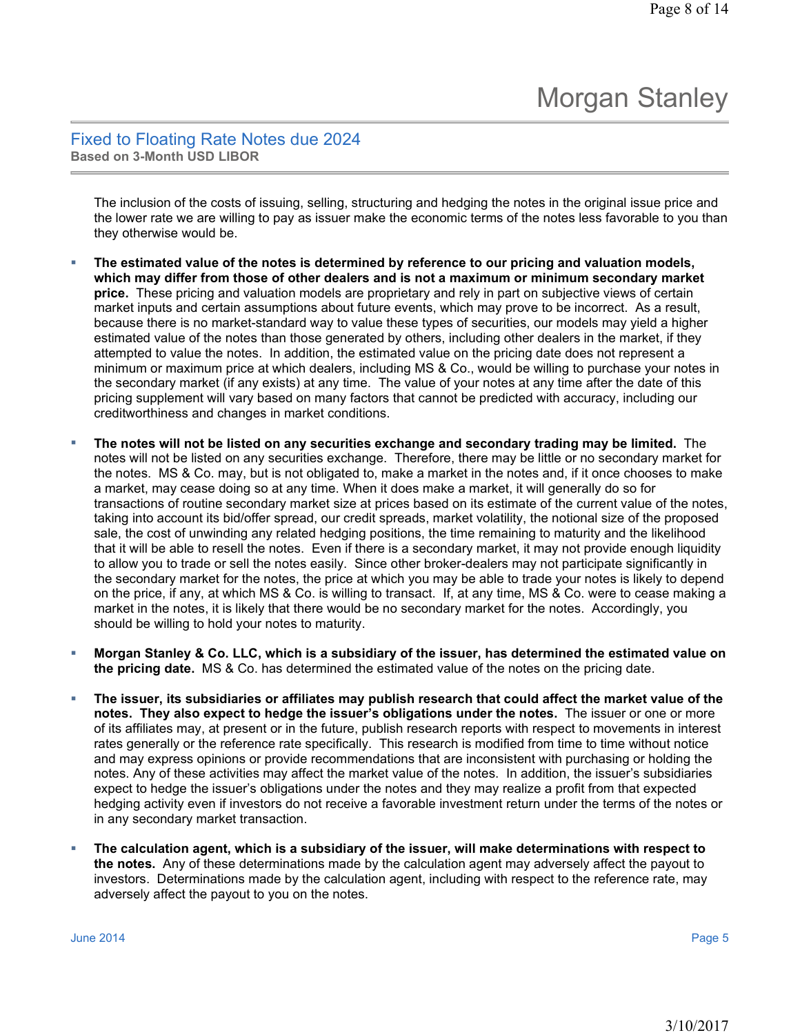### Fixed to Floating Rate Notes due 2024 **Based on 3-Month USD LIBOR**

The inclusion of the costs of issuing, selling, structuring and hedging the notes in the original issue price and the lower rate we are willing to pay as issuer make the economic terms of the notes less favorable to you than they otherwise would be.

- **The estimated value of the notes is determined by reference to our pricing and valuation models, which may differ from those of other dealers and is not a maximum or minimum secondary market price.** These pricing and valuation models are proprietary and rely in part on subjective views of certain market inputs and certain assumptions about future events, which may prove to be incorrect. As a result, because there is no market-standard way to value these types of securities, our models may yield a higher estimated value of the notes than those generated by others, including other dealers in the market, if they attempted to value the notes. In addition, the estimated value on the pricing date does not represent a minimum or maximum price at which dealers, including MS & Co., would be willing to purchase your notes in the secondary market (if any exists) at any time. The value of your notes at any time after the date of this pricing supplement will vary based on many factors that cannot be predicted with accuracy, including our creditworthiness and changes in market conditions.
- **The notes will not be listed on any securities exchange and secondary trading may be limited.** The notes will not be listed on any securities exchange. Therefore, there may be little or no secondary market for the notes. MS & Co. may, but is not obligated to, make a market in the notes and, if it once chooses to make a market, may cease doing so at any time. When it does make a market, it will generally do so for transactions of routine secondary market size at prices based on its estimate of the current value of the notes, taking into account its bid/offer spread, our credit spreads, market volatility, the notional size of the proposed sale, the cost of unwinding any related hedging positions, the time remaining to maturity and the likelihood that it will be able to resell the notes. Even if there is a secondary market, it may not provide enough liquidity to allow you to trade or sell the notes easily. Since other broker-dealers may not participate significantly in the secondary market for the notes, the price at which you may be able to trade your notes is likely to depend on the price, if any, at which MS & Co. is willing to transact. If, at any time, MS & Co. were to cease making a market in the notes, it is likely that there would be no secondary market for the notes. Accordingly, you should be willing to hold your notes to maturity.
- **Morgan Stanley & Co. LLC, which is a subsidiary of the issuer, has determined the estimated value on the pricing date.** MS & Co. has determined the estimated value of the notes on the pricing date.
- **The issuer, its subsidiaries or affiliates may publish research that could affect the market value of the notes. They also expect to hedge the issuer's obligations under the notes.** The issuer or one or more of its affiliates may, at present or in the future, publish research reports with respect to movements in interest rates generally or the reference rate specifically. This research is modified from time to time without notice and may express opinions or provide recommendations that are inconsistent with purchasing or holding the notes. Any of these activities may affect the market value of the notes. In addition, the issuer's subsidiaries expect to hedge the issuer's obligations under the notes and they may realize a profit from that expected hedging activity even if investors do not receive a favorable investment return under the terms of the notes or in any secondary market transaction.
- **The calculation agent, which is a subsidiary of the issuer, will make determinations with respect to the notes.** Any of these determinations made by the calculation agent may adversely affect the payout to investors. Determinations made by the calculation agent, including with respect to the reference rate, may adversely affect the payout to you on the notes.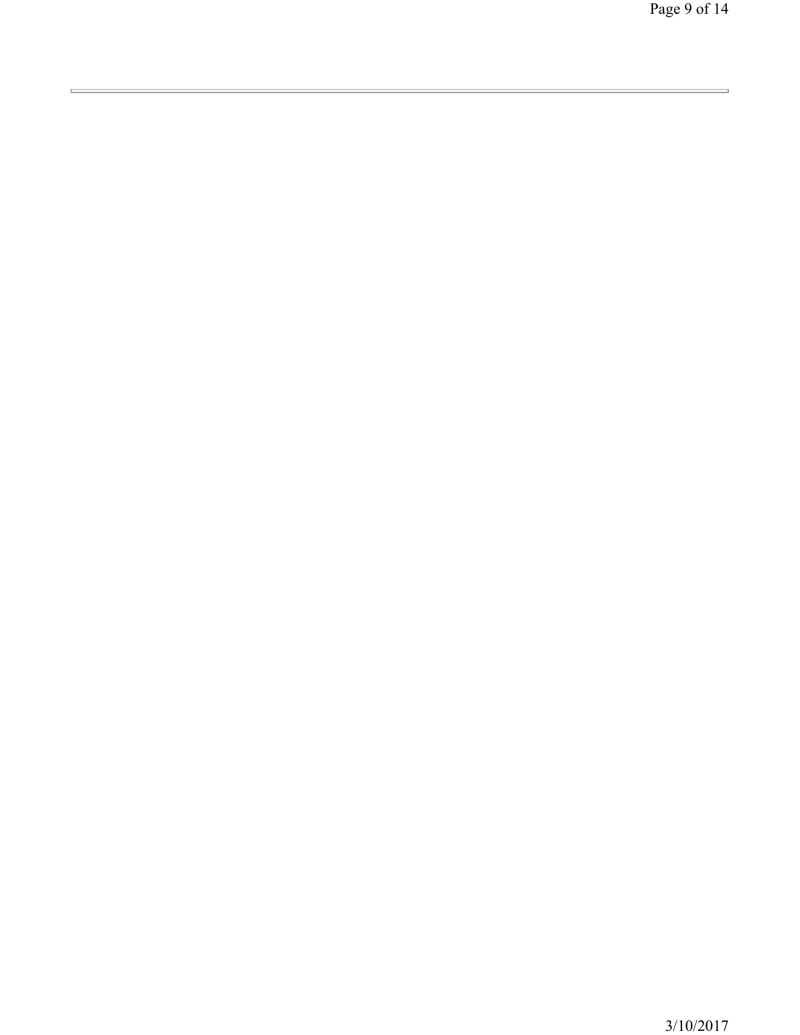$\Box$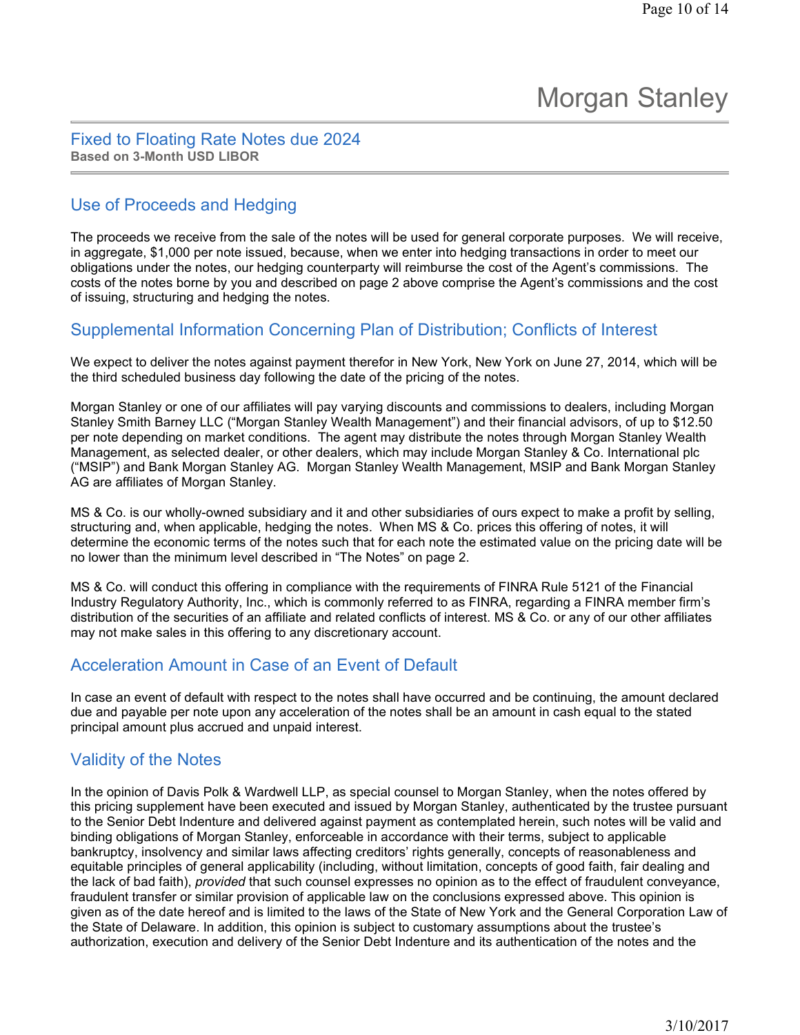### Fixed to Floating Rate Notes due 2024 **Based on 3-Month USD LIBOR**

## Use of Proceeds and Hedging

The proceeds we receive from the sale of the notes will be used for general corporate purposes. We will receive, in aggregate, \$1,000 per note issued, because, when we enter into hedging transactions in order to meet our obligations under the notes, our hedging counterparty will reimburse the cost of the Agent's commissions. The costs of the notes borne by you and described on page 2 above comprise the Agent's commissions and the cost of issuing, structuring and hedging the notes.

## Supplemental Information Concerning Plan of Distribution; Conflicts of Interest

We expect to deliver the notes against payment therefor in New York, New York on June 27, 2014, which will be the third scheduled business day following the date of the pricing of the notes.

Morgan Stanley or one of our affiliates will pay varying discounts and commissions to dealers, including Morgan Stanley Smith Barney LLC ("Morgan Stanley Wealth Management") and their financial advisors, of up to \$12.50 per note depending on market conditions. The agent may distribute the notes through Morgan Stanley Wealth Management, as selected dealer, or other dealers, which may include Morgan Stanley & Co. International plc ("MSIP") and Bank Morgan Stanley AG. Morgan Stanley Wealth Management, MSIP and Bank Morgan Stanley AG are affiliates of Morgan Stanley.

MS & Co. is our wholly-owned subsidiary and it and other subsidiaries of ours expect to make a profit by selling, structuring and, when applicable, hedging the notes. When MS & Co. prices this offering of notes, it will determine the economic terms of the notes such that for each note the estimated value on the pricing date will be no lower than the minimum level described in "The Notes" on page 2.

MS & Co. will conduct this offering in compliance with the requirements of FINRA Rule 5121 of the Financial Industry Regulatory Authority, Inc., which is commonly referred to as FINRA, regarding a FINRA member firm's distribution of the securities of an affiliate and related conflicts of interest. MS & Co. or any of our other affiliates may not make sales in this offering to any discretionary account.

## Acceleration Amount in Case of an Event of Default

In case an event of default with respect to the notes shall have occurred and be continuing, the amount declared due and payable per note upon any acceleration of the notes shall be an amount in cash equal to the stated principal amount plus accrued and unpaid interest.

## Validity of the Notes

In the opinion of Davis Polk & Wardwell LLP, as special counsel to Morgan Stanley, when the notes offered by this pricing supplement have been executed and issued by Morgan Stanley, authenticated by the trustee pursuant to the Senior Debt Indenture and delivered against payment as contemplated herein, such notes will be valid and binding obligations of Morgan Stanley, enforceable in accordance with their terms, subject to applicable bankruptcy, insolvency and similar laws affecting creditors' rights generally, concepts of reasonableness and equitable principles of general applicability (including, without limitation, concepts of good faith, fair dealing and the lack of bad faith), *provided* that such counsel expresses no opinion as to the effect of fraudulent conveyance, fraudulent transfer or similar provision of applicable law on the conclusions expressed above. This opinion is given as of the date hereof and is limited to the laws of the State of New York and the General Corporation Law of the State of Delaware. In addition, this opinion is subject to customary assumptions about the trustee's authorization, execution and delivery of the Senior Debt Indenture and its authentication of the notes and the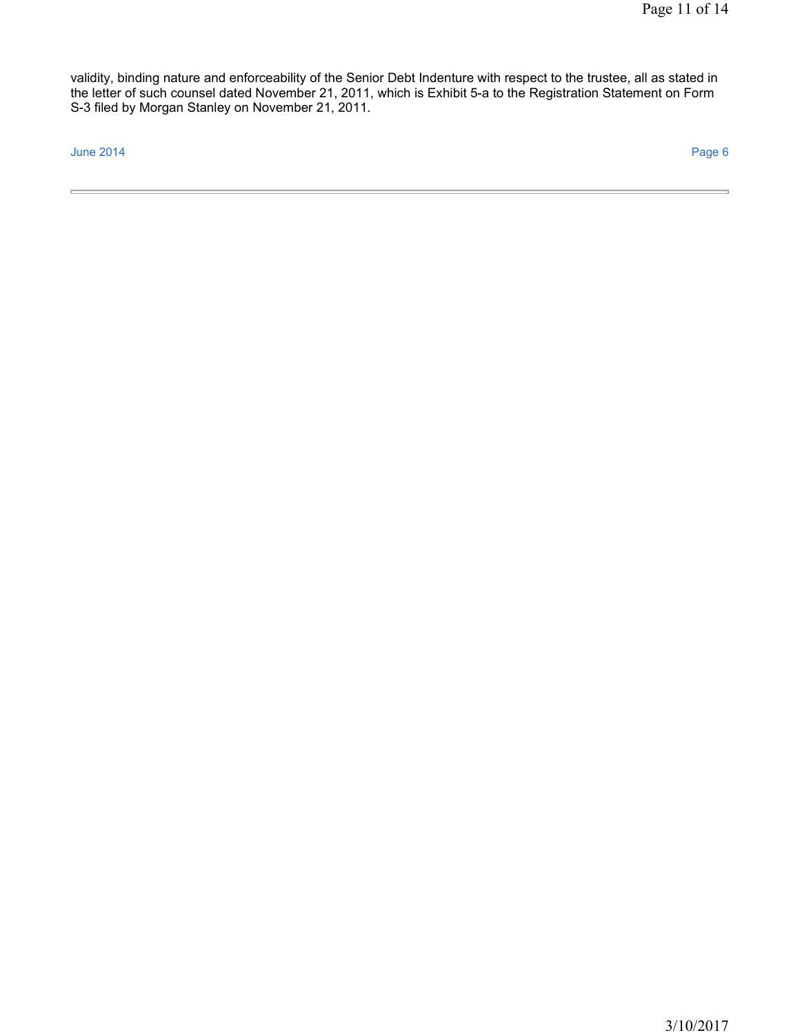validity, binding nature and enforceability of the Senior Debt Indenture with respect to the trustee, all as stated in the letter of such counsel dated November 21, 2011, which is Exhibit 5-a to the Registration Statement on Form S-3 filed by Morgan Stanley on November 21, 2011.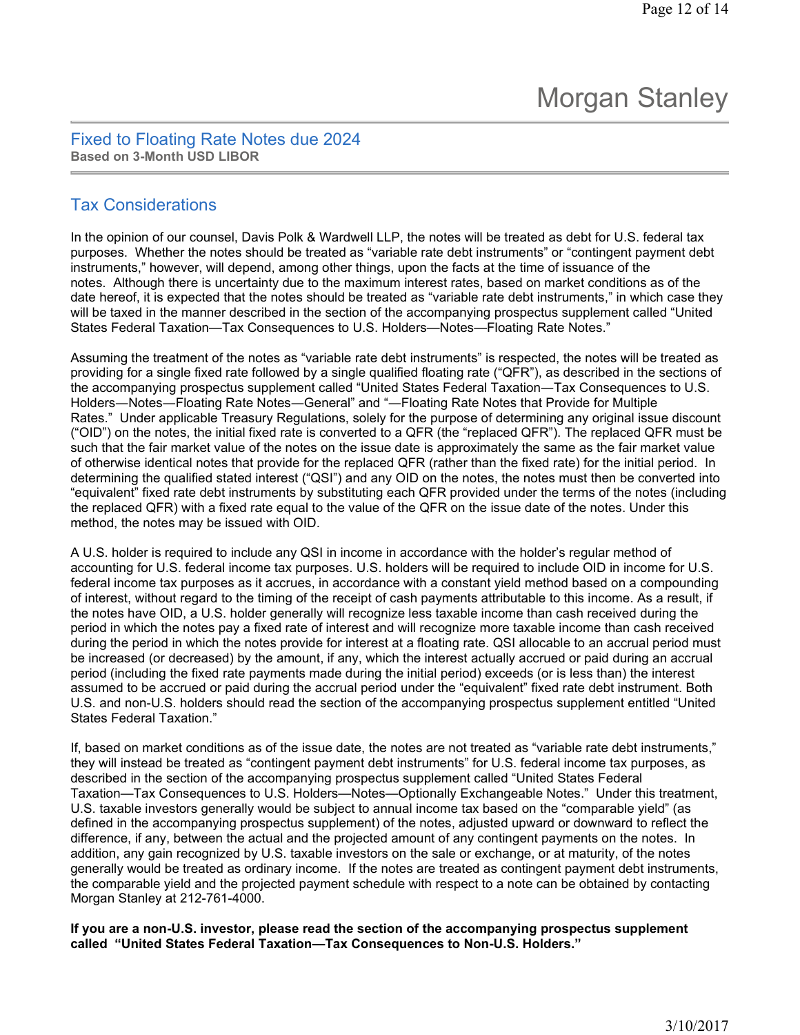### Fixed to Floating Rate Notes due 2024 **Based on 3-Month USD LIBOR**

# Tax Considerations

In the opinion of our counsel, Davis Polk & Wardwell LLP, the notes will be treated as debt for U.S. federal tax purposes. Whether the notes should be treated as "variable rate debt instruments" or "contingent payment debt instruments," however, will depend, among other things, upon the facts at the time of issuance of the notes. Although there is uncertainty due to the maximum interest rates, based on market conditions as of the date hereof, it is expected that the notes should be treated as "variable rate debt instruments," in which case they will be taxed in the manner described in the section of the accompanying prospectus supplement called "United States Federal Taxation—Tax Consequences to U.S. Holders—Notes—Floating Rate Notes."

Assuming the treatment of the notes as "variable rate debt instruments" is respected, the notes will be treated as providing for a single fixed rate followed by a single qualified floating rate ("QFR"), as described in the sections of the accompanying prospectus supplement called "United States Federal Taxation―Tax Consequences to U.S. Holders―Notes―Floating Rate Notes―General" and "―Floating Rate Notes that Provide for Multiple Rates." Under applicable Treasury Regulations, solely for the purpose of determining any original issue discount ("OID") on the notes, the initial fixed rate is converted to a QFR (the "replaced QFR"). The replaced QFR must be such that the fair market value of the notes on the issue date is approximately the same as the fair market value of otherwise identical notes that provide for the replaced QFR (rather than the fixed rate) for the initial period. In determining the qualified stated interest ("QSI") and any OID on the notes, the notes must then be converted into "equivalent" fixed rate debt instruments by substituting each QFR provided under the terms of the notes (including the replaced QFR) with a fixed rate equal to the value of the QFR on the issue date of the notes. Under this method, the notes may be issued with OID.

A U.S. holder is required to include any QSI in income in accordance with the holder's regular method of accounting for U.S. federal income tax purposes. U.S. holders will be required to include OID in income for U.S. federal income tax purposes as it accrues, in accordance with a constant yield method based on a compounding of interest, without regard to the timing of the receipt of cash payments attributable to this income. As a result, if the notes have OID, a U.S. holder generally will recognize less taxable income than cash received during the period in which the notes pay a fixed rate of interest and will recognize more taxable income than cash received during the period in which the notes provide for interest at a floating rate. QSI allocable to an accrual period must be increased (or decreased) by the amount, if any, which the interest actually accrued or paid during an accrual period (including the fixed rate payments made during the initial period) exceeds (or is less than) the interest assumed to be accrued or paid during the accrual period under the "equivalent" fixed rate debt instrument. Both U.S. and non-U.S. holders should read the section of the accompanying prospectus supplement entitled "United States Federal Taxation."

If, based on market conditions as of the issue date, the notes are not treated as "variable rate debt instruments," they will instead be treated as "contingent payment debt instruments" for U.S. federal income tax purposes, as described in the section of the accompanying prospectus supplement called "United States Federal Taxation—Tax Consequences to U.S. Holders—Notes—Optionally Exchangeable Notes." Under this treatment, U.S. taxable investors generally would be subject to annual income tax based on the "comparable yield" (as defined in the accompanying prospectus supplement) of the notes, adjusted upward or downward to reflect the difference, if any, between the actual and the projected amount of any contingent payments on the notes. In addition, any gain recognized by U.S. taxable investors on the sale or exchange, or at maturity, of the notes generally would be treated as ordinary income. If the notes are treated as contingent payment debt instruments, the comparable yield and the projected payment schedule with respect to a note can be obtained by contacting Morgan Stanley at 212-761-4000.

**If you are a non-U.S. investor, please read the section of the accompanying prospectus supplement called "United States Federal Taxation—Tax Consequences to Non-U.S. Holders."**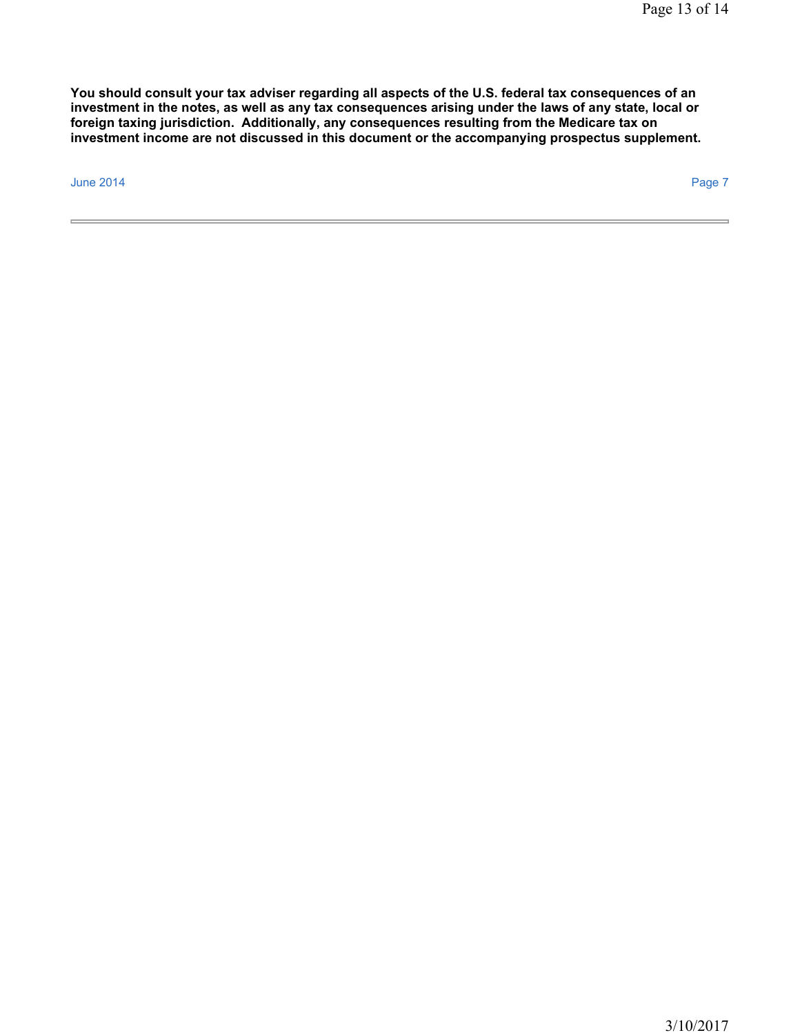**You should consult your tax adviser regarding all aspects of the U.S. federal tax consequences of an investment in the notes, as well as any tax consequences arising under the laws of any state, local or foreign taxing jurisdiction. Additionally, any consequences resulting from the Medicare tax on investment income are not discussed in this document or the accompanying prospectus supplement.**